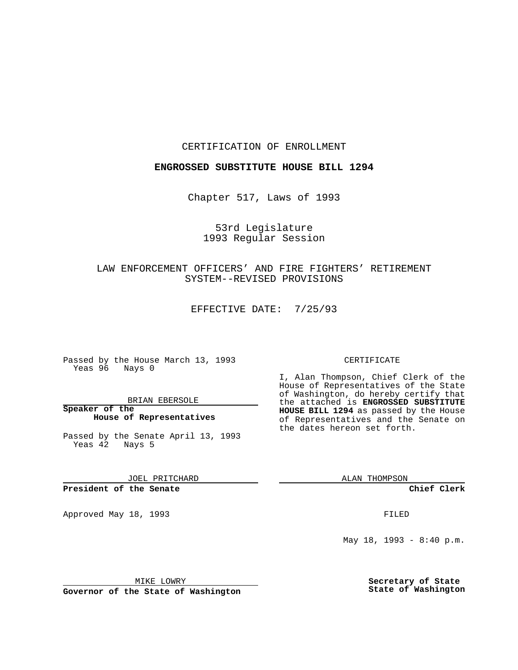CERTIFICATION OF ENROLLMENT

#### **ENGROSSED SUBSTITUTE HOUSE BILL 1294**

Chapter 517, Laws of 1993

### 53rd Legislature 1993 Regular Session

# LAW ENFORCEMENT OFFICERS' AND FIRE FIGHTERS' RETIREMENT SYSTEM--REVISED PROVISIONS

EFFECTIVE DATE: 7/25/93

Passed by the House March 13, 1993 Yeas 96 Nays 0

BRIAN EBERSOLE

**Speaker of the House of Representatives**

Passed by the Senate April 13, 1993 Yeas 42 Nays 5

JOEL PRITCHARD

## **President of the Senate**

Approved May 18, 1993 **FILED** 

#### CERTIFICATE

I, Alan Thompson, Chief Clerk of the House of Representatives of the State of Washington, do hereby certify that the attached is **ENGROSSED SUBSTITUTE HOUSE BILL 1294** as passed by the House of Representatives and the Senate on the dates hereon set forth.

ALAN THOMPSON

**Chief Clerk**

May 18, 1993 - 8:40 p.m.

MIKE LOWRY

**Governor of the State of Washington**

**Secretary of State State of Washington**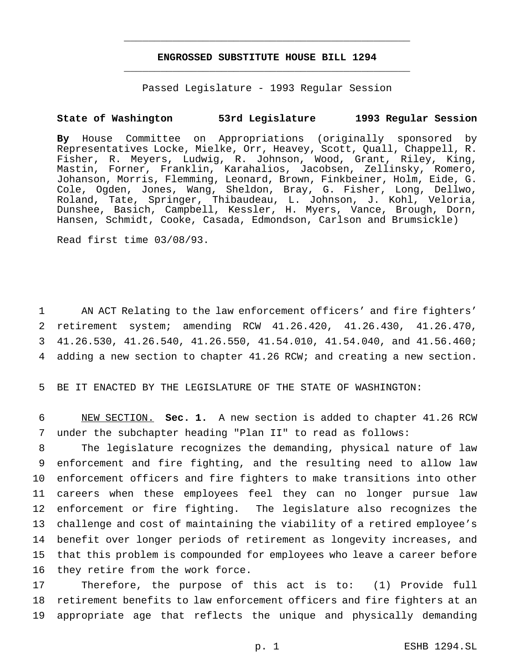# **ENGROSSED SUBSTITUTE HOUSE BILL 1294** \_\_\_\_\_\_\_\_\_\_\_\_\_\_\_\_\_\_\_\_\_\_\_\_\_\_\_\_\_\_\_\_\_\_\_\_\_\_\_\_\_\_\_\_\_\_\_

\_\_\_\_\_\_\_\_\_\_\_\_\_\_\_\_\_\_\_\_\_\_\_\_\_\_\_\_\_\_\_\_\_\_\_\_\_\_\_\_\_\_\_\_\_\_\_

Passed Legislature - 1993 Regular Session

### **State of Washington 53rd Legislature 1993 Regular Session**

**By** House Committee on Appropriations (originally sponsored by Representatives Locke, Mielke, Orr, Heavey, Scott, Quall, Chappell, R. Fisher, R. Meyers, Ludwig, R. Johnson, Wood, Grant, Riley, King, Mastin, Forner, Franklin, Karahalios, Jacobsen, Zellinsky, Romero, Johanson, Morris, Flemming, Leonard, Brown, Finkbeiner, Holm, Eide, G. Cole, Ogden, Jones, Wang, Sheldon, Bray, G. Fisher, Long, Dellwo, Roland, Tate, Springer, Thibaudeau, L. Johnson, J. Kohl, Veloria, Dunshee, Basich, Campbell, Kessler, H. Myers, Vance, Brough, Dorn, Hansen, Schmidt, Cooke, Casada, Edmondson, Carlson and Brumsickle)

Read first time 03/08/93.

 AN ACT Relating to the law enforcement officers' and fire fighters' retirement system; amending RCW 41.26.420, 41.26.430, 41.26.470, 41.26.530, 41.26.540, 41.26.550, 41.54.010, 41.54.040, and 41.56.460; adding a new section to chapter 41.26 RCW; and creating a new section.

5 BE IT ENACTED BY THE LEGISLATURE OF THE STATE OF WASHINGTON:

6 NEW SECTION. **Sec. 1.** A new section is added to chapter 41.26 RCW 7 under the subchapter heading "Plan II" to read as follows:

 The legislature recognizes the demanding, physical nature of law enforcement and fire fighting, and the resulting need to allow law enforcement officers and fire fighters to make transitions into other careers when these employees feel they can no longer pursue law enforcement or fire fighting. The legislature also recognizes the challenge and cost of maintaining the viability of a retired employee's benefit over longer periods of retirement as longevity increases, and that this problem is compounded for employees who leave a career before they retire from the work force.

17 Therefore, the purpose of this act is to: (1) Provide full 18 retirement benefits to law enforcement officers and fire fighters at an 19 appropriate age that reflects the unique and physically demanding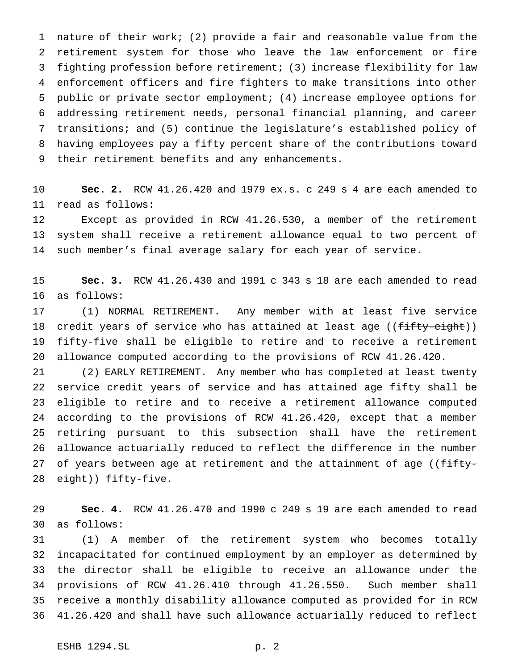nature of their work; (2) provide a fair and reasonable value from the retirement system for those who leave the law enforcement or fire fighting profession before retirement; (3) increase flexibility for law enforcement officers and fire fighters to make transitions into other public or private sector employment; (4) increase employee options for addressing retirement needs, personal financial planning, and career transitions; and (5) continue the legislature's established policy of having employees pay a fifty percent share of the contributions toward their retirement benefits and any enhancements.

 **Sec. 2.** RCW 41.26.420 and 1979 ex.s. c 249 s 4 are each amended to read as follows:

 Except as provided in RCW 41.26.530, a member of the retirement system shall receive a retirement allowance equal to two percent of such member's final average salary for each year of service.

 **Sec. 3.** RCW 41.26.430 and 1991 c 343 s 18 are each amended to read as follows:

 (1) NORMAL RETIREMENT. Any member with at least five service 18 credit years of service who has attained at least age ((fifty-eight)) 19 fifty-five shall be eligible to retire and to receive a retirement allowance computed according to the provisions of RCW 41.26.420.

 (2) EARLY RETIREMENT. Any member who has completed at least twenty service credit years of service and has attained age fifty shall be eligible to retire and to receive a retirement allowance computed according to the provisions of RCW 41.26.420, except that a member retiring pursuant to this subsection shall have the retirement allowance actuarially reduced to reflect the difference in the number 27 of years between age at retirement and the attainment of age ((fifty-28 eight)) fifty-five.

 **Sec. 4.** RCW 41.26.470 and 1990 c 249 s 19 are each amended to read as follows:

 (1) A member of the retirement system who becomes totally incapacitated for continued employment by an employer as determined by the director shall be eligible to receive an allowance under the provisions of RCW 41.26.410 through 41.26.550. Such member shall receive a monthly disability allowance computed as provided for in RCW 41.26.420 and shall have such allowance actuarially reduced to reflect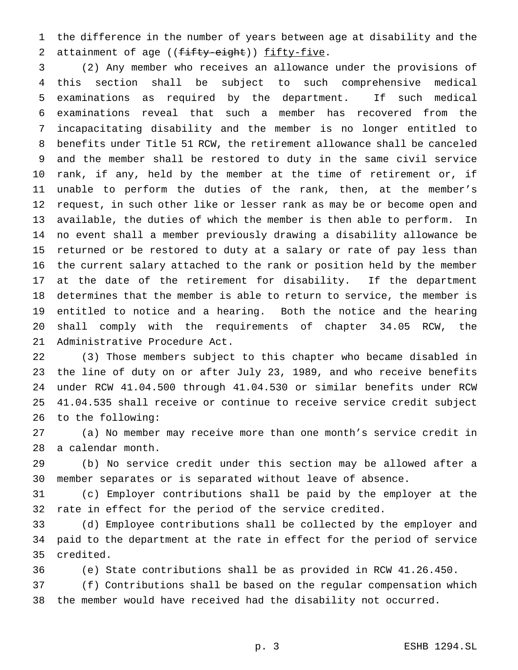the difference in the number of years between age at disability and the 2 attainment of age ((fifty-eight)) fifty-five.

 (2) Any member who receives an allowance under the provisions of this section shall be subject to such comprehensive medical examinations as required by the department. If such medical examinations reveal that such a member has recovered from the incapacitating disability and the member is no longer entitled to benefits under Title 51 RCW, the retirement allowance shall be canceled and the member shall be restored to duty in the same civil service rank, if any, held by the member at the time of retirement or, if unable to perform the duties of the rank, then, at the member's request, in such other like or lesser rank as may be or become open and available, the duties of which the member is then able to perform. In no event shall a member previously drawing a disability allowance be returned or be restored to duty at a salary or rate of pay less than the current salary attached to the rank or position held by the member at the date of the retirement for disability. If the department determines that the member is able to return to service, the member is entitled to notice and a hearing. Both the notice and the hearing shall comply with the requirements of chapter 34.05 RCW, the Administrative Procedure Act.

 (3) Those members subject to this chapter who became disabled in the line of duty on or after July 23, 1989, and who receive benefits under RCW 41.04.500 through 41.04.530 or similar benefits under RCW 41.04.535 shall receive or continue to receive service credit subject to the following:

 (a) No member may receive more than one month's service credit in a calendar month.

 (b) No service credit under this section may be allowed after a member separates or is separated without leave of absence.

 (c) Employer contributions shall be paid by the employer at the rate in effect for the period of the service credited.

 (d) Employee contributions shall be collected by the employer and paid to the department at the rate in effect for the period of service credited.

(e) State contributions shall be as provided in RCW 41.26.450.

 (f) Contributions shall be based on the regular compensation which the member would have received had the disability not occurred.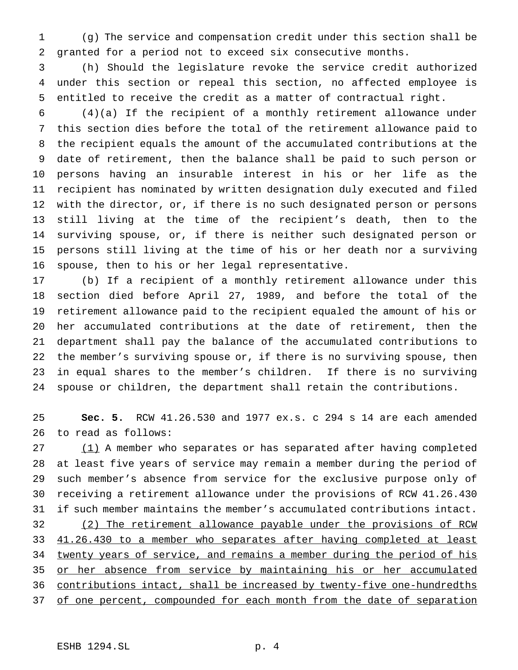(g) The service and compensation credit under this section shall be granted for a period not to exceed six consecutive months.

 (h) Should the legislature revoke the service credit authorized under this section or repeal this section, no affected employee is entitled to receive the credit as a matter of contractual right.

 (4)(a) If the recipient of a monthly retirement allowance under this section dies before the total of the retirement allowance paid to the recipient equals the amount of the accumulated contributions at the date of retirement, then the balance shall be paid to such person or persons having an insurable interest in his or her life as the recipient has nominated by written designation duly executed and filed with the director, or, if there is no such designated person or persons still living at the time of the recipient's death, then to the surviving spouse, or, if there is neither such designated person or persons still living at the time of his or her death nor a surviving spouse, then to his or her legal representative.

 (b) If a recipient of a monthly retirement allowance under this section died before April 27, 1989, and before the total of the retirement allowance paid to the recipient equaled the amount of his or her accumulated contributions at the date of retirement, then the department shall pay the balance of the accumulated contributions to the member's surviving spouse or, if there is no surviving spouse, then in equal shares to the member's children. If there is no surviving spouse or children, the department shall retain the contributions.

 **Sec. 5.** RCW 41.26.530 and 1977 ex.s. c 294 s 14 are each amended to read as follows:

27 (1) A member who separates or has separated after having completed at least five years of service may remain a member during the period of such member's absence from service for the exclusive purpose only of receiving a retirement allowance under the provisions of RCW 41.26.430 if such member maintains the member's accumulated contributions intact. (2) The retirement allowance payable under the provisions of RCW 33 41.26.430 to a member who separates after having completed at least twenty years of service, and remains a member during the period of his 35 or her absence from service by maintaining his or her accumulated contributions intact, shall be increased by twenty-five one-hundredths 37 of one percent, compounded for each month from the date of separation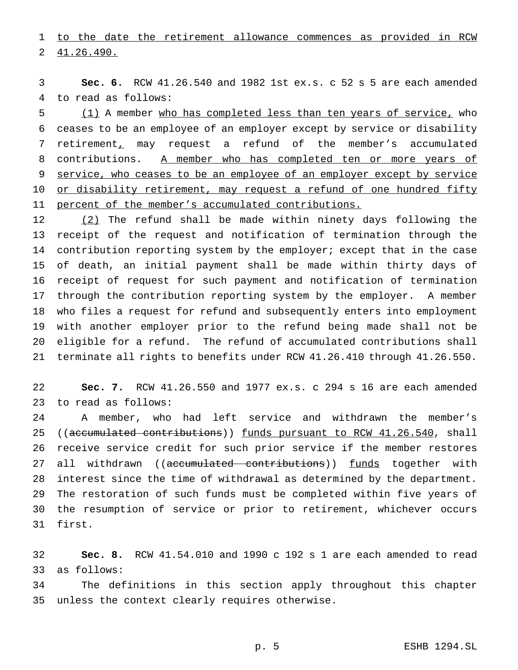to the date the retirement allowance commences as provided in RCW 41.26.490.

 **Sec. 6.** RCW 41.26.540 and 1982 1st ex.s. c 52 s 5 are each amended to read as follows:

 (1) A member who has completed less than ten years of service, who ceases to be an employee of an employer except by service or disability retirement, may request a refund of the member's accumulated 8 contributions. A member who has completed ten or more years of 9 service, who ceases to be an employee of an employer except by service 10 or disability retirement, may request a refund of one hundred fifty 11 percent of the member's accumulated contributions.

 (2) The refund shall be made within ninety days following the receipt of the request and notification of termination through the contribution reporting system by the employer; except that in the case of death, an initial payment shall be made within thirty days of receipt of request for such payment and notification of termination through the contribution reporting system by the employer. A member who files a request for refund and subsequently enters into employment with another employer prior to the refund being made shall not be eligible for a refund. The refund of accumulated contributions shall terminate all rights to benefits under RCW 41.26.410 through 41.26.550.

 **Sec. 7.** RCW 41.26.550 and 1977 ex.s. c 294 s 16 are each amended to read as follows:

 A member, who had left service and withdrawn the member's 25 ((accumulated contributions)) funds pursuant to RCW 41.26.540, shall receive service credit for such prior service if the member restores 27 all withdrawn ((accumulated contributions)) funds together with interest since the time of withdrawal as determined by the department. The restoration of such funds must be completed within five years of the resumption of service or prior to retirement, whichever occurs first.

 **Sec. 8.** RCW 41.54.010 and 1990 c 192 s 1 are each amended to read as follows:

 The definitions in this section apply throughout this chapter unless the context clearly requires otherwise.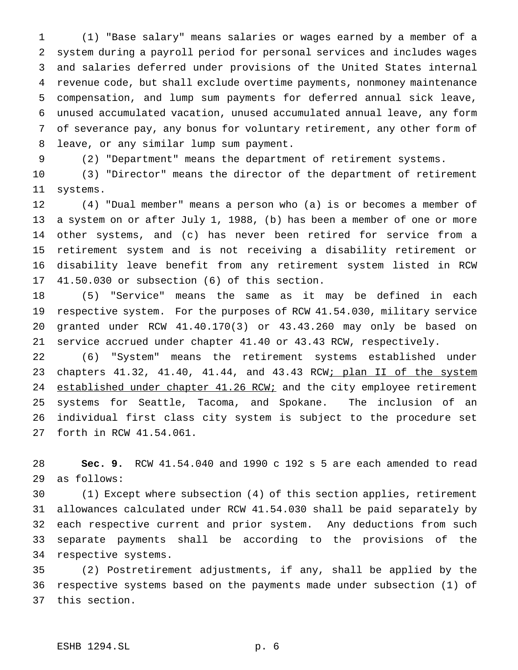(1) "Base salary" means salaries or wages earned by a member of a system during a payroll period for personal services and includes wages and salaries deferred under provisions of the United States internal revenue code, but shall exclude overtime payments, nonmoney maintenance compensation, and lump sum payments for deferred annual sick leave, unused accumulated vacation, unused accumulated annual leave, any form of severance pay, any bonus for voluntary retirement, any other form of leave, or any similar lump sum payment.

(2) "Department" means the department of retirement systems.

 (3) "Director" means the director of the department of retirement systems.

 (4) "Dual member" means a person who (a) is or becomes a member of a system on or after July 1, 1988, (b) has been a member of one or more other systems, and (c) has never been retired for service from a retirement system and is not receiving a disability retirement or disability leave benefit from any retirement system listed in RCW 41.50.030 or subsection (6) of this section.

 (5) "Service" means the same as it may be defined in each respective system. For the purposes of RCW 41.54.030, military service granted under RCW 41.40.170(3) or 43.43.260 may only be based on service accrued under chapter 41.40 or 43.43 RCW, respectively.

 (6) "System" means the retirement systems established under 23 chapters 41.32, 41.40, 41.44, and 43.43 RCW; plan II of the system 24 established under chapter 41.26 RCW; and the city employee retirement systems for Seattle, Tacoma, and Spokane. The inclusion of an individual first class city system is subject to the procedure set forth in RCW 41.54.061.

 **Sec. 9.** RCW 41.54.040 and 1990 c 192 s 5 are each amended to read as follows:

 (1) Except where subsection (4) of this section applies, retirement allowances calculated under RCW 41.54.030 shall be paid separately by each respective current and prior system. Any deductions from such separate payments shall be according to the provisions of the respective systems.

 (2) Postretirement adjustments, if any, shall be applied by the respective systems based on the payments made under subsection (1) of this section.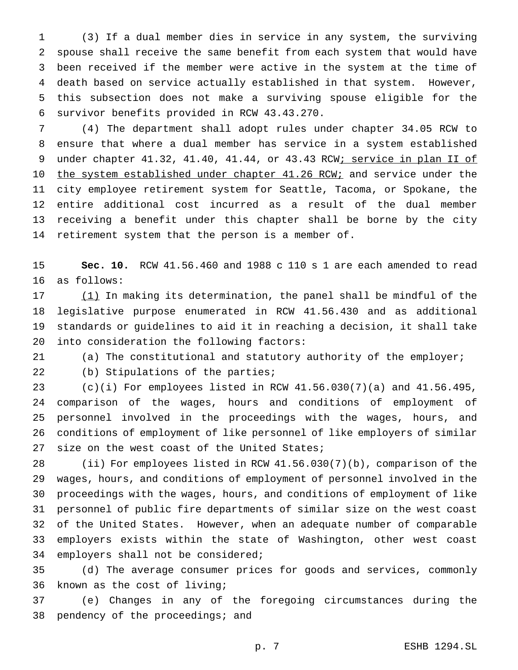(3) If a dual member dies in service in any system, the surviving spouse shall receive the same benefit from each system that would have been received if the member were active in the system at the time of death based on service actually established in that system. However, this subsection does not make a surviving spouse eligible for the survivor benefits provided in RCW 43.43.270.

 (4) The department shall adopt rules under chapter 34.05 RCW to ensure that where a dual member has service in a system established 9 under chapter 41.32, 41.40, 41.44, or 43.43 RCW; service in plan II of 10 the system established under chapter 41.26 RCW; and service under the city employee retirement system for Seattle, Tacoma, or Spokane, the entire additional cost incurred as a result of the dual member receiving a benefit under this chapter shall be borne by the city retirement system that the person is a member of.

 **Sec. 10.** RCW 41.56.460 and 1988 c 110 s 1 are each amended to read as follows:

17 (1) In making its determination, the panel shall be mindful of the legislative purpose enumerated in RCW 41.56.430 and as additional standards or guidelines to aid it in reaching a decision, it shall take into consideration the following factors:

(a) The constitutional and statutory authority of the employer;

22 (b) Stipulations of the parties;

 (c)(i) For employees listed in RCW 41.56.030(7)(a) and 41.56.495, comparison of the wages, hours and conditions of employment of personnel involved in the proceedings with the wages, hours, and conditions of employment of like personnel of like employers of similar 27 size on the west coast of the United States;

 (ii) For employees listed in RCW 41.56.030(7)(b), comparison of the wages, hours, and conditions of employment of personnel involved in the proceedings with the wages, hours, and conditions of employment of like personnel of public fire departments of similar size on the west coast of the United States. However, when an adequate number of comparable employers exists within the state of Washington, other west coast employers shall not be considered;

 (d) The average consumer prices for goods and services, commonly known as the cost of living;

 (e) Changes in any of the foregoing circumstances during the 38 pendency of the proceedings; and